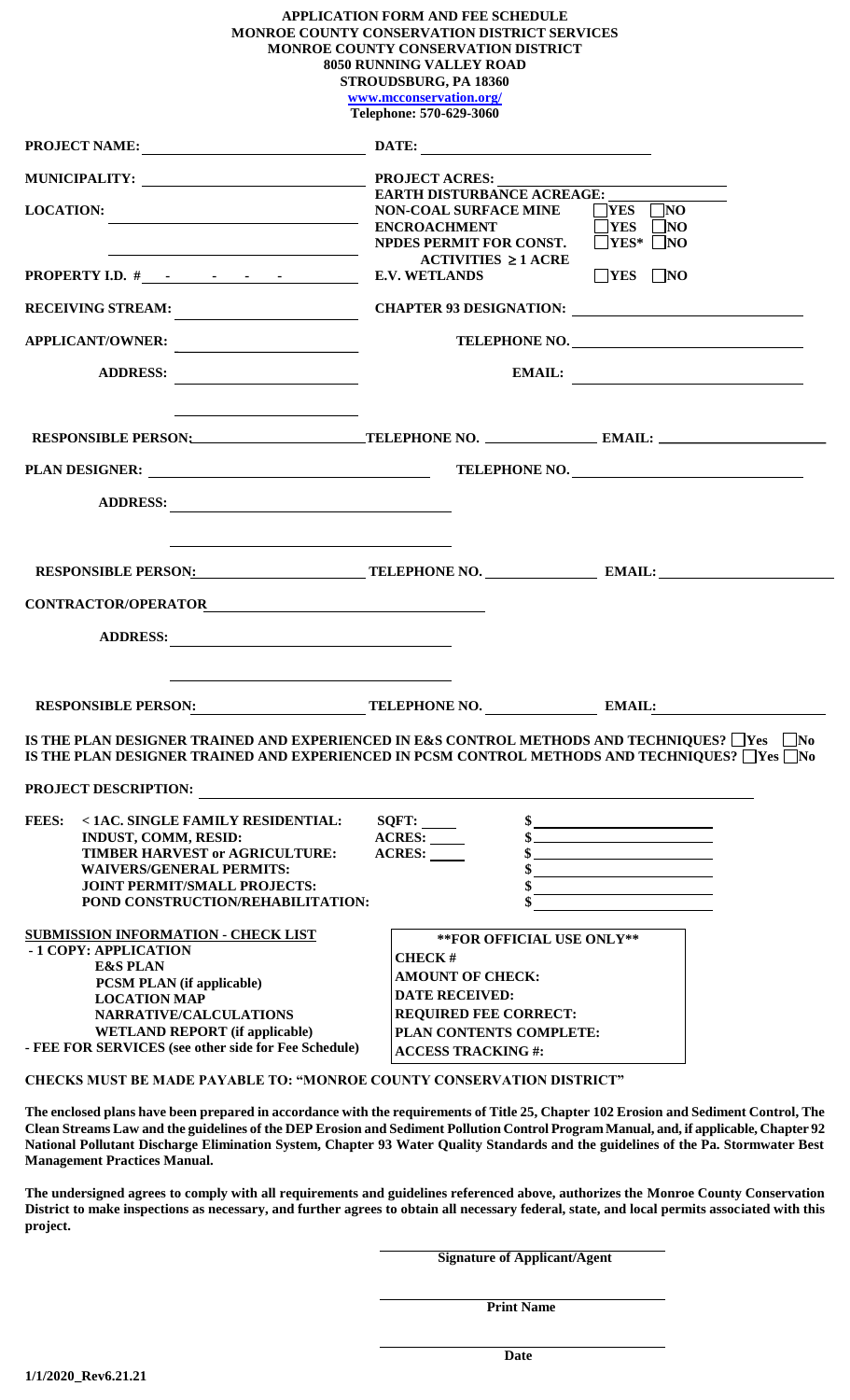# **APPLICATION FORM AND FEE SCHEDULE MONROE COUNTY CONSERVATION DISTRICT SERVICES MONROE COUNTY CONSERVATION DISTRICT 8050 RUNNING VALLEY ROAD STROUDSBURG, PA 18360**

**[www.mcconservation.org/](http://www.mcconservation.org/)**

| Telephone: 570-629-3060                                                                                                                                                                                                                                                                                                                                                                                                                         |                                                                                       |                                                                                                                                                                                                                                                                                                                                                                                                                                                         |  |  |
|-------------------------------------------------------------------------------------------------------------------------------------------------------------------------------------------------------------------------------------------------------------------------------------------------------------------------------------------------------------------------------------------------------------------------------------------------|---------------------------------------------------------------------------------------|---------------------------------------------------------------------------------------------------------------------------------------------------------------------------------------------------------------------------------------------------------------------------------------------------------------------------------------------------------------------------------------------------------------------------------------------------------|--|--|
|                                                                                                                                                                                                                                                                                                                                                                                                                                                 |                                                                                       |                                                                                                                                                                                                                                                                                                                                                                                                                                                         |  |  |
| MUNICIPALITY: PROJECT ACRES:                                                                                                                                                                                                                                                                                                                                                                                                                    |                                                                                       |                                                                                                                                                                                                                                                                                                                                                                                                                                                         |  |  |
| <b>LOCATION:</b><br>NON-COAL SURFAL SURFAL SURFAL SURFAL SURFAL SURFAL SURFAL SURFAL SURFAL SURFAL SURFAL SURFAL SURFAL SURFAL SURFAL SURFAL SURFAL SURFAL SURFAL SURFAL SURFAL SURFAL SURFAL SURFAL SURFAL SURFAL SURFAL SURFAL SURFAL SURFAL SUR                                                                                                                                                                                              | EARTH DISTURBANCE ACREAGE:<br><b>NON-COAL SURFACE MINE</b><br>NPDES PERMIT FOR CONST. | $\neg$ YES $\neg$ NO<br>$\neg$ YES $\neg$ NO<br>$\Box$ YES* $\Box$ NO                                                                                                                                                                                                                                                                                                                                                                                   |  |  |
| $\begin{array}{c c c c c c} \hline \rule{0pt}{2.5ex} & \multicolumn{2}{c }{\textbf{1}} & \multicolumn{2}{c }{\textbf{2}} & \multicolumn{2}{c }{\textbf{3}} & \multicolumn{2}{c }{\textbf{4}} & \multicolumn{2}{c }{\textbf{5}} & \multicolumn{2}{c }{\textbf{6}} & \multicolumn{2}{c }{\textbf{7}} & \multicolumn{2}{c }{\textbf{8}} & \multicolumn{2}{c }{\textbf{9}} & \multicolumn{2}{c }{\textbf{1}} & \multicolumn{2}{c }{\textbf{1}} & \$ | $ACTIVITIES \geq 1$ ACRE                                                              | $\neg$ YES $\neg$ NO                                                                                                                                                                                                                                                                                                                                                                                                                                    |  |  |
|                                                                                                                                                                                                                                                                                                                                                                                                                                                 |                                                                                       |                                                                                                                                                                                                                                                                                                                                                                                                                                                         |  |  |
| APPLICANT/OWNER:                                                                                                                                                                                                                                                                                                                                                                                                                                | TELEPHONE NO.                                                                         |                                                                                                                                                                                                                                                                                                                                                                                                                                                         |  |  |
| ADDRESS:                                                                                                                                                                                                                                                                                                                                                                                                                                        |                                                                                       | $EMAL:$                                                                                                                                                                                                                                                                                                                                                                                                                                                 |  |  |
| the contract of the contract of the contract of the contract of the contract of                                                                                                                                                                                                                                                                                                                                                                 |                                                                                       |                                                                                                                                                                                                                                                                                                                                                                                                                                                         |  |  |
|                                                                                                                                                                                                                                                                                                                                                                                                                                                 |                                                                                       |                                                                                                                                                                                                                                                                                                                                                                                                                                                         |  |  |
| ADDRESS:                                                                                                                                                                                                                                                                                                                                                                                                                                        |                                                                                       |                                                                                                                                                                                                                                                                                                                                                                                                                                                         |  |  |
| <u> 1999 - Johann John Stone, markin sanadi ya kutoka mwaka wa 1999 - Amerika mwaka wa 1999 - Amerika mwaka wa 19</u><br>RESPONSIBLE PERSON: TELEPHONE NO. NO. NAIL:                                                                                                                                                                                                                                                                            |                                                                                       |                                                                                                                                                                                                                                                                                                                                                                                                                                                         |  |  |
|                                                                                                                                                                                                                                                                                                                                                                                                                                                 |                                                                                       |                                                                                                                                                                                                                                                                                                                                                                                                                                                         |  |  |
|                                                                                                                                                                                                                                                                                                                                                                                                                                                 |                                                                                       |                                                                                                                                                                                                                                                                                                                                                                                                                                                         |  |  |
| ADDRESS:                                                                                                                                                                                                                                                                                                                                                                                                                                        |                                                                                       |                                                                                                                                                                                                                                                                                                                                                                                                                                                         |  |  |
| RESPONSIBLE PERSON: TELEPHONE NO. NO. NAIL: NAIL:                                                                                                                                                                                                                                                                                                                                                                                               |                                                                                       |                                                                                                                                                                                                                                                                                                                                                                                                                                                         |  |  |
| IS THE PLAN DESIGNER TRAINED AND EXPERIENCED IN E&S CONTROL METHODS AND TECHNIQUES? Tes<br>IS THE PLAN DESIGNER TRAINED AND EXPERIENCED IN PCSM CONTROL METHODS AND TECHNIQUES? Tes INo                                                                                                                                                                                                                                                         |                                                                                       | $\vert$ No                                                                                                                                                                                                                                                                                                                                                                                                                                              |  |  |
| PROJECT DESCRIPTION:                                                                                                                                                                                                                                                                                                                                                                                                                            |                                                                                       |                                                                                                                                                                                                                                                                                                                                                                                                                                                         |  |  |
| <b>FEES:</b><br><1AC. SINGLE FAMILY RESIDENTIAL:<br>INDUST, COMM, RESID:<br>TIMBER HARVEST or AGRICULTURE:<br><b>WAIVERS/GENERAL PERMITS:</b><br><b>JOINT PERMIT/SMALL PROJECTS:</b><br>POND CONSTRUCTION/REHABILITATION:                                                                                                                                                                                                                       | SQFT: ______<br>ACRES: _____<br>ACRES:                                                | $\begin{array}{c c} \n\text{\bf 5} & \text{\bf \textbf{5} & \bf \textbf{6} & \bf \textbf{7} & \bf \textbf{8} & \bf \textbf{10} & \bf \textbf{11} & \bf \textbf{12} & \bf \textbf{13} & \bf \textbf{14} & \bf \textbf{15} & \bf \textbf{16} & \bf \textbf{17} & \bf \textbf{18} & \bf \textbf{19} & \bf \textbf{19} & \bf \textbf{19} & \bf \textbf{19} & \bf \textbf{10} & \bf \textbf{10} & \bf \textbf{11} & \bf \$<br>$\frac{1}{2}$<br>$\frac{1}{2}$ |  |  |
| <b>SUBMISSION INFORMATION - CHECK LIST</b>                                                                                                                                                                                                                                                                                                                                                                                                      | **FOR OFFICIAL USE ONLY**                                                             |                                                                                                                                                                                                                                                                                                                                                                                                                                                         |  |  |
| - 1 COPY: APPLICATION<br><b>E&amp;S PLAN</b>                                                                                                                                                                                                                                                                                                                                                                                                    | <b>CHECK#</b>                                                                         |                                                                                                                                                                                                                                                                                                                                                                                                                                                         |  |  |
| <b>PCSM PLAN</b> (if applicable)                                                                                                                                                                                                                                                                                                                                                                                                                | <b>AMOUNT OF CHECK:</b><br><b>DATE RECEIVED:</b>                                      |                                                                                                                                                                                                                                                                                                                                                                                                                                                         |  |  |
| <b>LOCATION MAP</b><br>NARRATIVE/CALCULATIONS                                                                                                                                                                                                                                                                                                                                                                                                   | <b>REQUIRED FEE CORRECT:</b>                                                          |                                                                                                                                                                                                                                                                                                                                                                                                                                                         |  |  |
| <b>WETLAND REPORT</b> (if applicable)                                                                                                                                                                                                                                                                                                                                                                                                           | PLAN CONTENTS COMPLETE:                                                               |                                                                                                                                                                                                                                                                                                                                                                                                                                                         |  |  |
| - FEE FOR SERVICES (see other side for Fee Schedule)                                                                                                                                                                                                                                                                                                                                                                                            | <b>ACCESS TRACKING#:</b>                                                              |                                                                                                                                                                                                                                                                                                                                                                                                                                                         |  |  |
| <b>CHECKS MUST BE MADE PAYABLE TO: "MONROE COUNTY CONSERVATION DISTRICT"</b>                                                                                                                                                                                                                                                                                                                                                                    |                                                                                       |                                                                                                                                                                                                                                                                                                                                                                                                                                                         |  |  |
| The enclosed plans have been prepared in accordance with the requirements of Title 25, Chapter 102 Erosion and Sediment Control, The<br>Clean Streams Law and the guidelines of the DEP Erosion and Sediment Pollution Control Program Manual, and, if applicable, Chapter 92<br>National Pollutant Discharge Elimination System, Chapter 93 Water Quality Standards and the guidelines of the Pa. Stormwater Best                              |                                                                                       |                                                                                                                                                                                                                                                                                                                                                                                                                                                         |  |  |

**Management Practices Manual. The undersigned agrees to comply with all requirements and guidelines referenced above, authorizes the Monroe County Conservation District to make inspections as necessary, and further agrees to obtain all necessary federal, state, and local permits associated with this** 

**Signature of Applicant/Agent** 

 **Print Name**

**project.**

**Date**